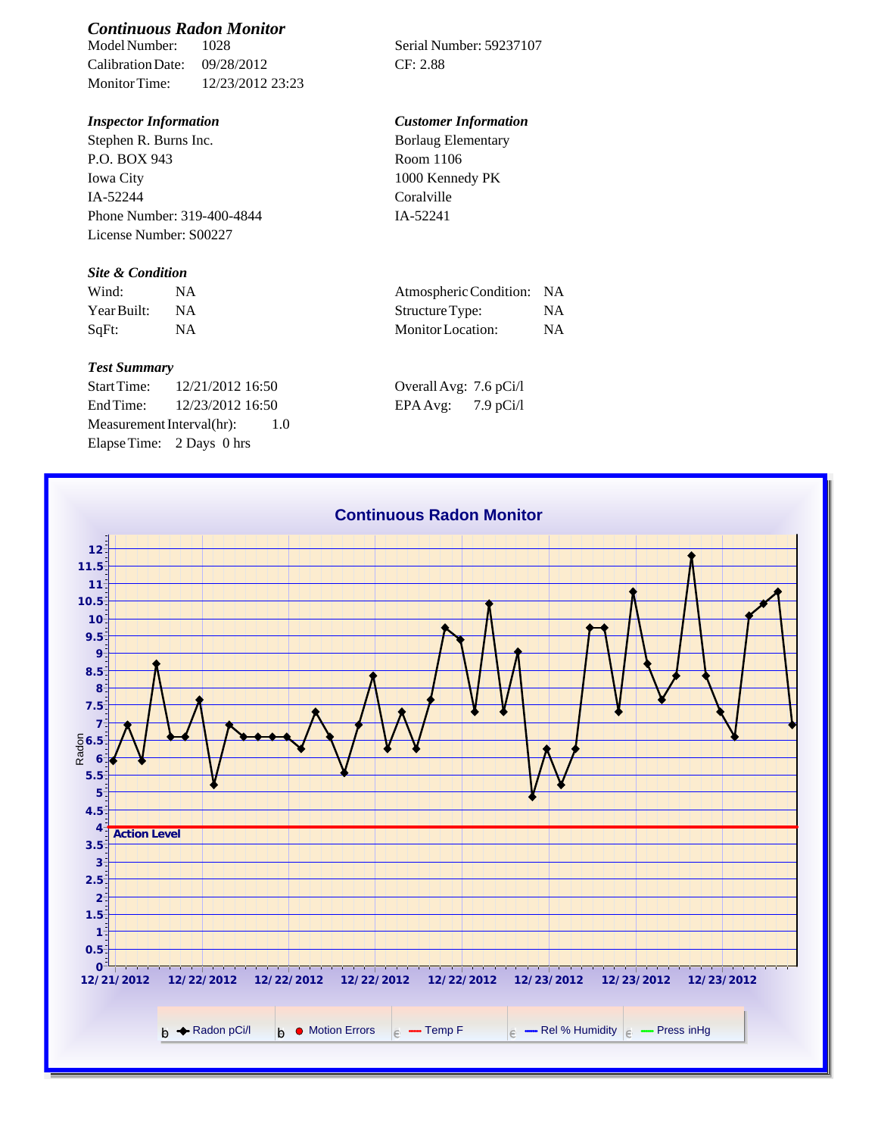# *Continuous Radon Monitor*

Calibration Date: 09/28/2012 CF: 2.88 Monitor Time: 12/23/2012 23:23

Stephen R. Burns Inc. P.O. BOX 943 Iowa City IA-52244 Phone Number: 319-400-4844 License Number: S00227

### *Site & Condition*

| Wind:       |           | Atmospheric Condition: NA |  |
|-------------|-----------|---------------------------|--|
| Year Built: | <b>NA</b> | Structure Type:           |  |
| $SqFt$ :    |           | Monitor Location:         |  |

# *Test Summary*

Start Time: 12/21/2012 16:50 End Time:  $12/23/2012$  16:50 Measurement Interval(hr): 1.0 Elapse Time: 2 Days 0 hrs

Serial Number: 59237107

## *Inspector Information Customer Information*

| <b>Borlaug Elementary</b> |  |
|---------------------------|--|
| Room 1106                 |  |
| 1000 Kennedy PK           |  |
| Coralville                |  |
| IA-52241                  |  |

| Atmospheric Condition: NA |    |
|---------------------------|----|
| Structure Type:           | NA |
| Monitor Location:         | NA |

| Overall Avg: 7.6 pCi/l |             |
|------------------------|-------------|
| EPA Avg:               | $7.9$ pCi/l |

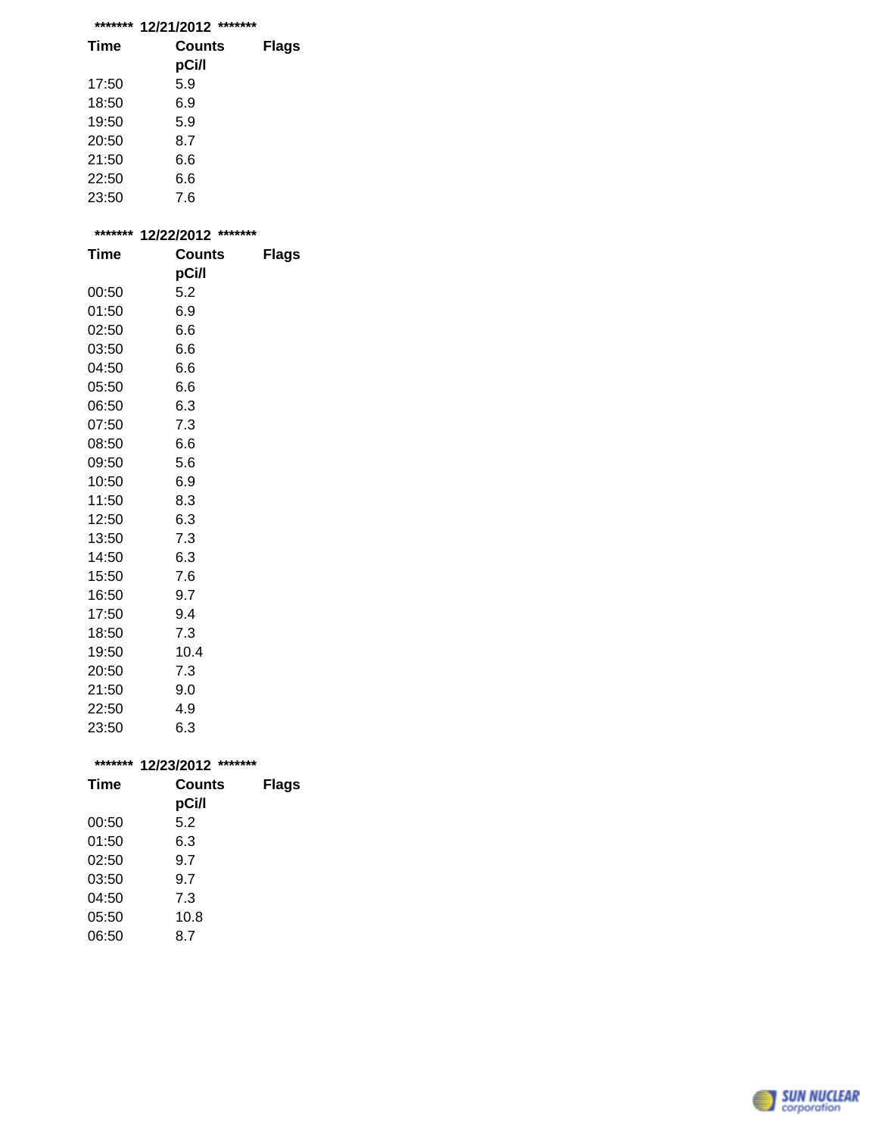| ******* | *******<br>12/21/2012 |              |
|---------|-----------------------|--------------|
| Time    | Counts<br>pCi/l       | <b>Flags</b> |
| 17:50   | 5.9                   |              |
| 18:50   | 6.9                   |              |
| 19:50   | 5.9                   |              |
| 20:50   | 8.7                   |              |
| 21:50   | 6.6                   |              |

| 22:50 | 6.6 |
|-------|-----|
| 23:50 | 7.6 |

| ******* | 12/22/2012 ******* |              |
|---------|--------------------|--------------|
| Time    | Counts             | <b>Flags</b> |
|         | pCi/l              |              |
| 00:50   | 5.2                |              |
| 01:50   | 6.9                |              |
| 02:50   | 6.6                |              |
| 03:50   | 6.6                |              |
| 04:50   | 6.6                |              |
| 05:50   | 6.6                |              |
| 06:50   | 6.3                |              |
| 07:50   | 7.3                |              |
| 08:50   | 6.6                |              |
| 09:50   | 5.6                |              |
| 10:50   | 6.9                |              |
| 11:50   | 8.3                |              |
| 12:50   | 6.3                |              |
| 13:50   | 7.3                |              |
| 14:50   | 6.3                |              |
| 15:50   | 7.6                |              |
| 16:50   | 9.7                |              |
| 17:50   | 9.4                |              |
| 18:50   | 7.3                |              |
| 19:50   | 10.4               |              |
| 20:50   | 7.3                |              |
| 21:50   | 9.0                |              |
| 22:50   | 4.9                |              |
| 23:50   | 6.3                |              |
|         |                    |              |
| ******* | 12/23/2012 ******* |              |

| 1 <i>liljil</i> v 1 <i>l</i> |              |  |
|------------------------------|--------------|--|
| Counts                       | <b>Flags</b> |  |
|                              |              |  |
|                              |              |  |
| 6.3                          |              |  |
| 9.7                          |              |  |
| 9.7                          |              |  |
| 7.3                          |              |  |
| 10.8                         |              |  |
| 8.7                          |              |  |
|                              | pCi/l<br>5.2 |  |